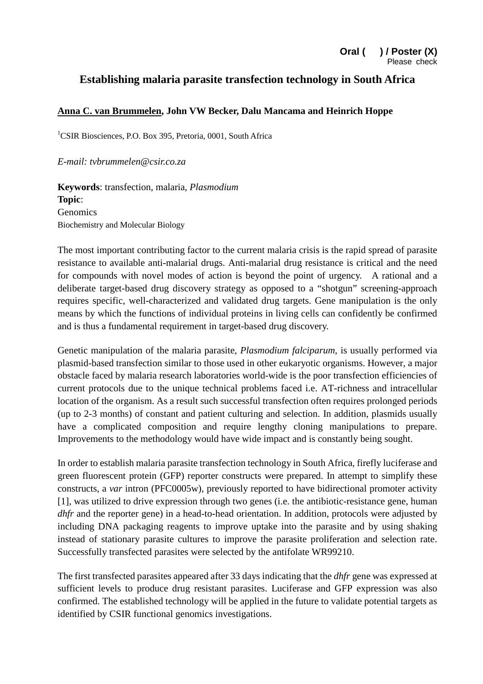## **Establishing malaria parasite transfection technology in South Africa**

## **Anna C. van Brummelen, John VW Becker, Dalu Mancama and Heinrich Hoppe**

<sup>1</sup>CSIR Biosciences, P.O. Box 395, Pretoria, 0001, South Africa

*E-mail: tvbrummelen@csir.co.za* 

**Keywords**: transfection, malaria, *Plasmodium* **Topic**: **Genomics** Biochemistry and Molecular Biology

The most important contributing factor to the current malaria crisis is the rapid spread of parasite resistance to available anti-malarial drugs. Anti-malarial drug resistance is critical and the need for compounds with novel modes of action is beyond the point of urgency. A rational and a deliberate target-based drug discovery strategy as opposed to a "shotgun" screening-approach requires specific, well-characterized and validated drug targets. Gene manipulation is the only means by which the functions of individual proteins in living cells can confidently be confirmed and is thus a fundamental requirement in target-based drug discovery.

Genetic manipulation of the malaria parasite, *Plasmodium falciparum*, is usually performed via plasmid-based transfection similar to those used in other eukaryotic organisms. However, a major obstacle faced by malaria research laboratories world-wide is the poor transfection efficiencies of current protocols due to the unique technical problems faced i.e. AT-richness and intracellular location of the organism. As a result such successful transfection often requires prolonged periods (up to 2-3 months) of constant and patient culturing and selection. In addition, plasmids usually have a complicated composition and require lengthy cloning manipulations to prepare. Improvements to the methodology would have wide impact and is constantly being sought.

In order to establish malaria parasite transfection technology in South Africa, firefly luciferase and green fluorescent protein (GFP) reporter constructs were prepared. In attempt to simplify these constructs, a *var* intron (PFC0005w), previously reported to have bidirectional promoter activity [1], was utilized to drive expression through two genes (i.e. the antibiotic-resistance gene, human *dhfr* and the reporter gene) in a head-to-head orientation. In addition, protocols were adjusted by including DNA packaging reagents to improve uptake into the parasite and by using shaking instead of stationary parasite cultures to improve the parasite proliferation and selection rate. Successfully transfected parasites were selected by the antifolate WR99210.

The first transfected parasites appeared after 33 days indicating that the *dhfr* gene was expressed at sufficient levels to produce drug resistant parasites. Luciferase and GFP expression was also confirmed. The established technology will be applied in the future to validate potential targets as identified by CSIR functional genomics investigations.